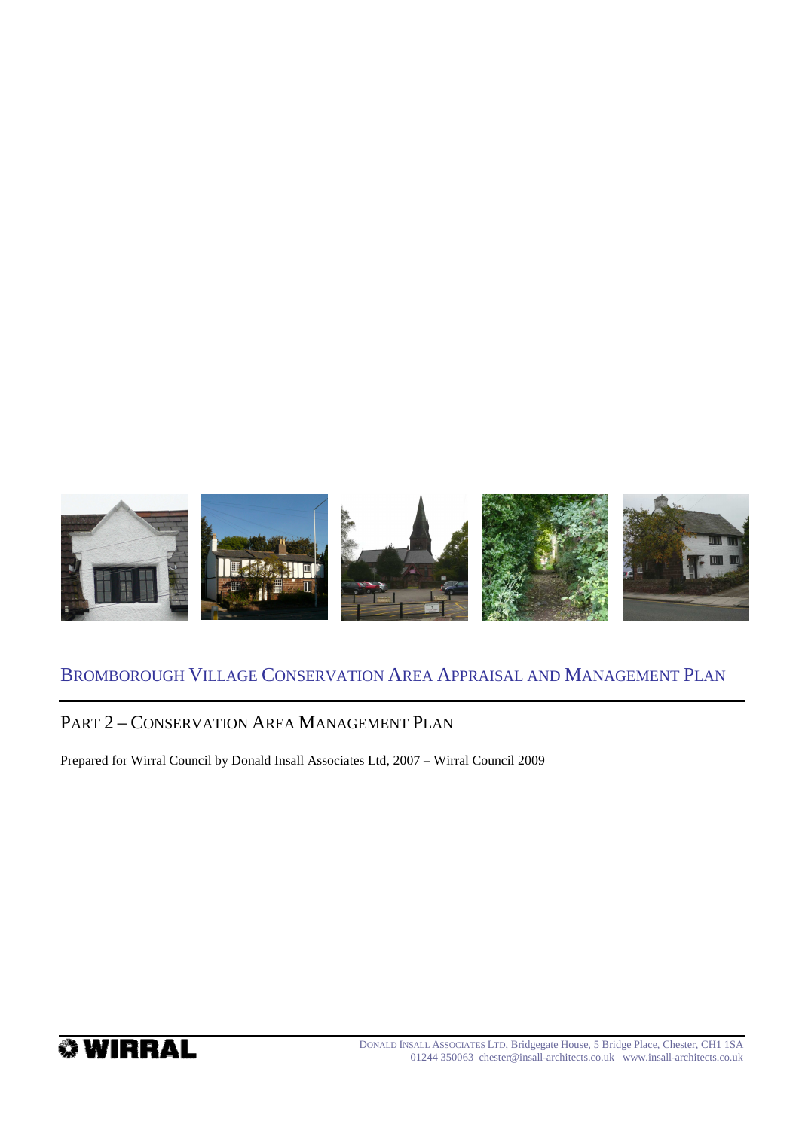

# BROMBOROUGH VILLAGE CONSERVATION AREA APPRAISAL AND MANAGEMENT PLAN

# PART 2 – CONSERVATION AREA MANAGEMENT PLAN

Prepared for Wirral Council by Donald Insall Associates Ltd, 2007 – Wirral Council 2009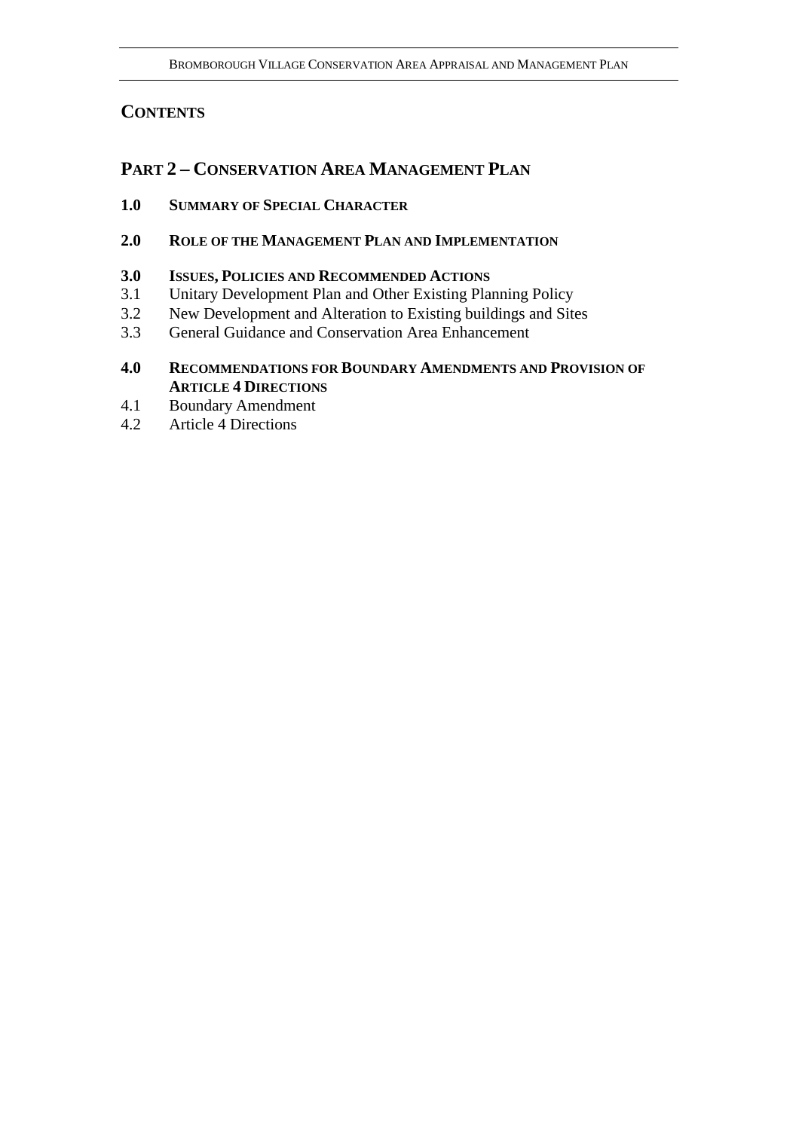# **CONTENTS**

# **PART 2 – CONSERVATION AREA MANAGEMENT PLAN**

- **1.0 SUMMARY OF SPECIAL CHARACTER**
- **2.0 ROLE OF THE MANAGEMENT PLAN AND IMPLEMENTATION**
- **3.0 ISSUES, POLICIES AND RECOMMENDED ACTIONS**
- 3.1 Unitary Development Plan and Other Existing Planning Policy
- 3.2 New Development and Alteration to Existing buildings and Sites
- 3.3 General Guidance and Conservation Area Enhancement
- **4.0 RECOMMENDATIONS FOR BOUNDARY AMENDMENTS AND PROVISION OF ARTICLE 4 DIRECTIONS**
- 4.1 Boundary Amendment
- 4.2 Article 4 Directions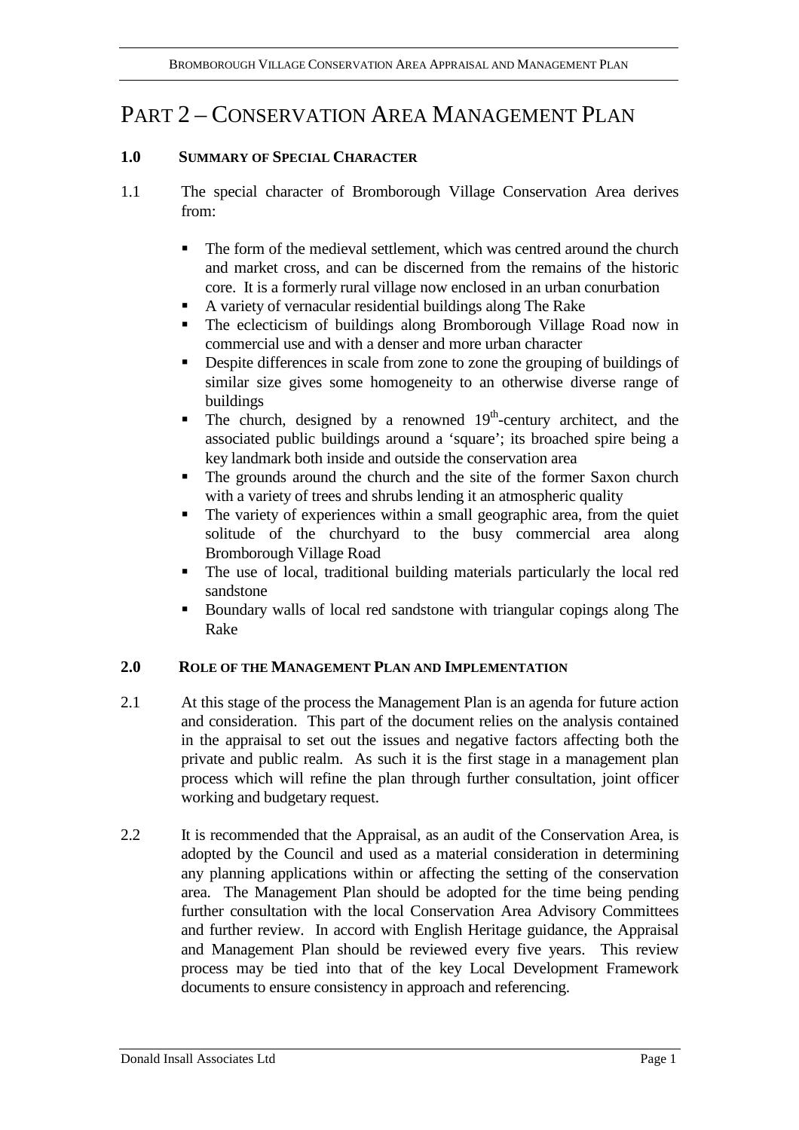# PART 2 – CONSERVATION AREA MANAGEMENT PLAN

# **1.0 SUMMARY OF SPECIAL CHARACTER**

- 1.1 The special character of Bromborough Village Conservation Area derives from:
	- The form of the medieval settlement, which was centred around the church and market cross, and can be discerned from the remains of the historic core. It is a formerly rural village now enclosed in an urban conurbation
	- A variety of vernacular residential buildings along The Rake
	- The eclecticism of buildings along Bromborough Village Road now in commercial use and with a denser and more urban character
	- Despite differences in scale from zone to zone the grouping of buildings of similar size gives some homogeneity to an otherwise diverse range of buildings
	- The church, designed by a renowned  $19<sup>th</sup>$ -century architect, and the associated public buildings around a 'square'; its broached spire being a key landmark both inside and outside the conservation area
	- The grounds around the church and the site of the former Saxon church with a variety of trees and shrubs lending it an atmospheric quality
	- The variety of experiences within a small geographic area, from the quiet solitude of the churchyard to the busy commercial area along Bromborough Village Road
	- The use of local, traditional building materials particularly the local red sandstone
	- Boundary walls of local red sandstone with triangular copings along The Rake

# **2.0 ROLE OF THE MANAGEMENT PLAN AND IMPLEMENTATION**

- 2.1 At this stage of the process the Management Plan is an agenda for future action and consideration. This part of the document relies on the analysis contained in the appraisal to set out the issues and negative factors affecting both the private and public realm. As such it is the first stage in a management plan process which will refine the plan through further consultation, joint officer working and budgetary request.
- 2.2 It is recommended that the Appraisal, as an audit of the Conservation Area, is adopted by the Council and used as a material consideration in determining any planning applications within or affecting the setting of the conservation area. The Management Plan should be adopted for the time being pending further consultation with the local Conservation Area Advisory Committees and further review. In accord with English Heritage guidance, the Appraisal and Management Plan should be reviewed every five years. This review process may be tied into that of the key Local Development Framework documents to ensure consistency in approach and referencing.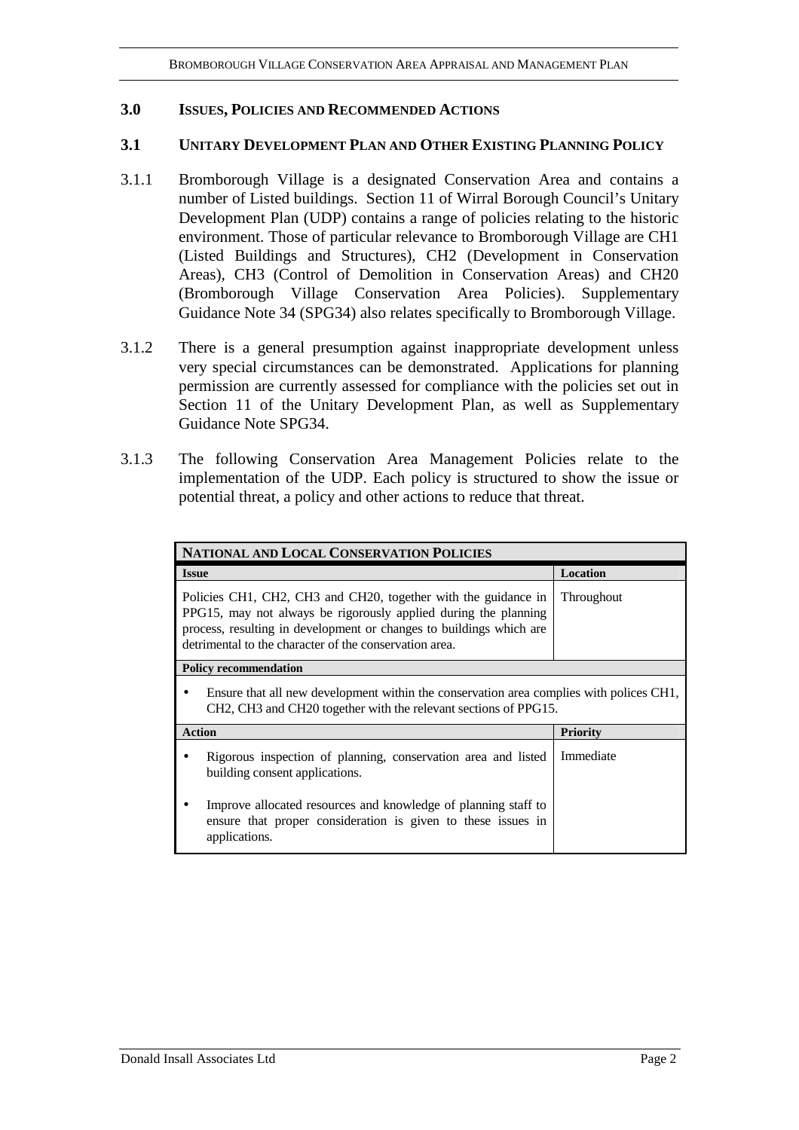### **3.0 ISSUES, POLICIES AND RECOMMENDED ACTIONS**

#### **3.1 UNITARY DEVELOPMENT PLAN AND OTHER EXISTING PLANNING POLICY**

- 3.1.1 Bromborough Village is a designated Conservation Area and contains a number of Listed buildings. Section 11 of Wirral Borough Council's Unitary Development Plan (UDP) contains a range of policies relating to the historic environment. Those of particular relevance to Bromborough Village are CH1 (Listed Buildings and Structures), CH2 (Development in Conservation Areas), CH3 (Control of Demolition in Conservation Areas) and CH20 (Bromborough Village Conservation Area Policies). Supplementary Guidance Note 34 (SPG34) also relates specifically to Bromborough Village.
- 3.1.2 There is a general presumption against inappropriate development unless very special circumstances can be demonstrated. Applications for planning permission are currently assessed for compliance with the policies set out in Section 11 of the Unitary Development Plan, as well as Supplementary Guidance Note SPG34.
- 3.1.3 The following Conservation Area Management Policies relate to the implementation of the UDP. Each policy is structured to show the issue or potential threat, a policy and other actions to reduce that threat.

| NATIONAL AND LOCAL CONSERVATION POLICIES                                                                                                                                                                                                                           |                 |  |
|--------------------------------------------------------------------------------------------------------------------------------------------------------------------------------------------------------------------------------------------------------------------|-----------------|--|
| <b>Issue</b>                                                                                                                                                                                                                                                       | Location        |  |
| Policies CH1, CH2, CH3 and CH20, together with the guidance in<br>PPG15, may not always be rigorously applied during the planning<br>process, resulting in development or changes to buildings which are<br>detrimental to the character of the conservation area. | Throughout      |  |
| <b>Policy recommendation</b>                                                                                                                                                                                                                                       |                 |  |
| Ensure that all new development within the conservation area complies with polices CH1,<br>CH2, CH3 and CH20 together with the relevant sections of PPG15.                                                                                                         |                 |  |
| <b>Action</b>                                                                                                                                                                                                                                                      | <b>Priority</b> |  |
| Rigorous inspection of planning, conservation area and listed<br>building consent applications.                                                                                                                                                                    | Immediate       |  |
| Improve allocated resources and knowledge of planning staff to<br>ensure that proper consideration is given to these issues in<br>applications.                                                                                                                    |                 |  |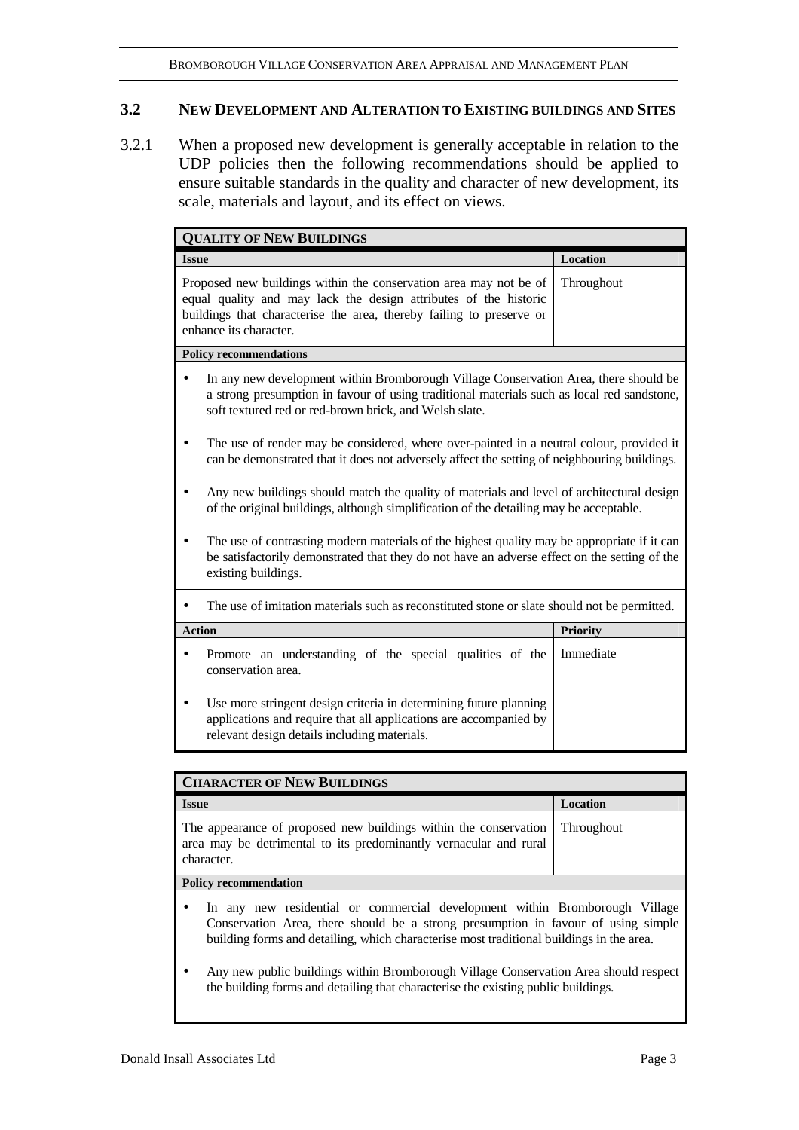#### **3.2 NEW DEVELOPMENT AND ALTERATION TO EXISTING BUILDINGS AND SITES**

3.2.1 When a proposed new development is generally acceptable in relation to the UDP policies then the following recommendations should be applied to ensure suitable standards in the quality and character of new development, its scale, materials and layout, and its effect on views.

| <b>QUALITY OF NEW BUILDINGS</b> |                                                                                                                                                                                                                                              |                 |  |
|---------------------------------|----------------------------------------------------------------------------------------------------------------------------------------------------------------------------------------------------------------------------------------------|-----------------|--|
| <b>Issue</b>                    |                                                                                                                                                                                                                                              | Location        |  |
|                                 | Proposed new buildings within the conservation area may not be of<br>equal quality and may lack the design attributes of the historic<br>buildings that characterise the area, thereby failing to preserve or<br>enhance its character.      | Throughout      |  |
|                                 | <b>Policy recommendations</b>                                                                                                                                                                                                                |                 |  |
|                                 | In any new development within Bromborough Village Conservation Area, there should be<br>a strong presumption in favour of using traditional materials such as local red sandstone,<br>soft textured red or red-brown brick, and Welsh slate. |                 |  |
|                                 | The use of render may be considered, where over-painted in a neutral colour, provided it<br>can be demonstrated that it does not adversely affect the setting of neighbouring buildings.                                                     |                 |  |
|                                 | Any new buildings should match the quality of materials and level of architectural design<br>of the original buildings, although simplification of the detailing may be acceptable.                                                          |                 |  |
|                                 | The use of contrasting modern materials of the highest quality may be appropriate if it can<br>be satisfactorily demonstrated that they do not have an adverse effect on the setting of the<br>existing buildings.                           |                 |  |
|                                 | The use of imitation materials such as reconstituted stone or slate should not be permitted.                                                                                                                                                 |                 |  |
| <b>Action</b>                   |                                                                                                                                                                                                                                              | <b>Priority</b> |  |
|                                 | Promote an understanding of the special qualities of the<br>conservation area.                                                                                                                                                               | Immediate       |  |
|                                 | Use more stringent design criteria in determining future planning<br>applications and require that all applications are accompanied by<br>relevant design details including materials.                                                       |                 |  |

| <b>CHARACTER OF NEW BUILDINGS</b>                                                                                                                                                                                                                            |                   |  |
|--------------------------------------------------------------------------------------------------------------------------------------------------------------------------------------------------------------------------------------------------------------|-------------------|--|
| <b>Issue</b>                                                                                                                                                                                                                                                 | <b>Location</b>   |  |
| The appearance of proposed new buildings within the conservation<br>area may be detrimental to its predominantly vernacular and rural<br>character.                                                                                                          | <b>Throughout</b> |  |
| <b>Policy recommendation</b>                                                                                                                                                                                                                                 |                   |  |
| In any new residential or commercial development within Bromborough Village<br>Conservation Area, there should be a strong presumption in favour of using simple<br>building forms and detailing, which characterise most traditional buildings in the area. |                   |  |

• Any new public buildings within Bromborough Village Conservation Area should respect the building forms and detailing that characterise the existing public buildings.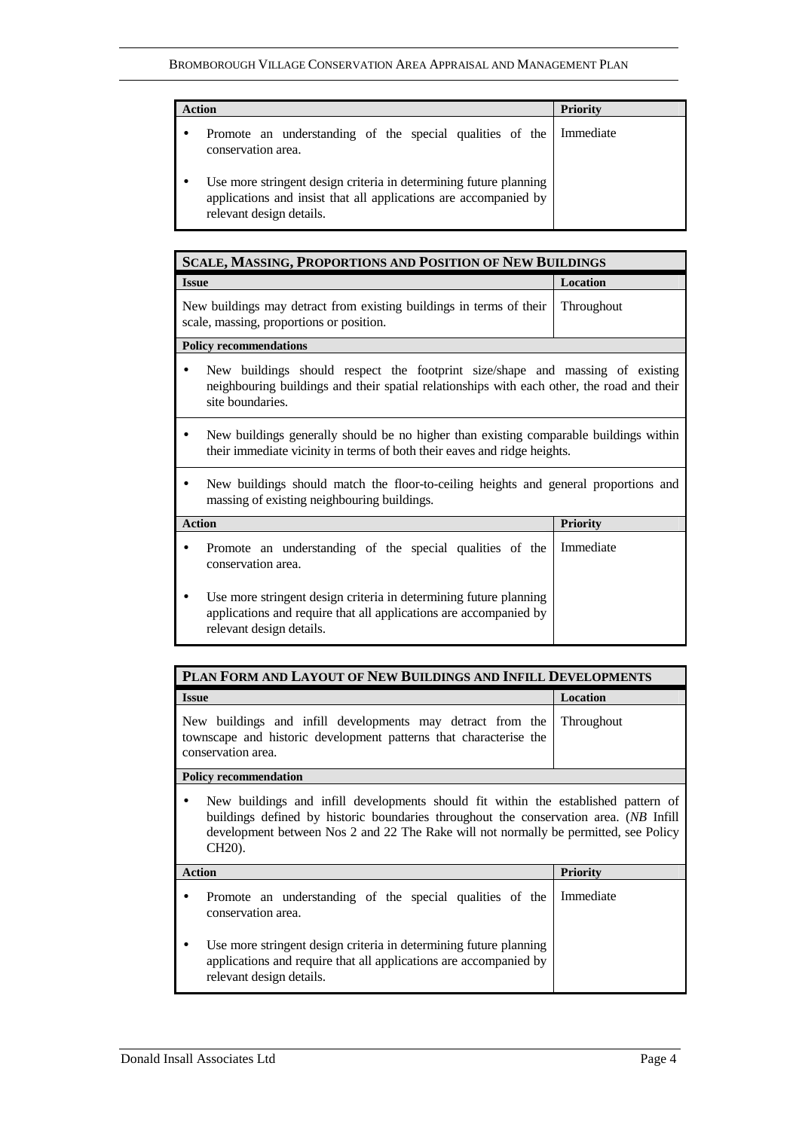| <b>Action</b>                                                                                                                                                     | <b>Priority</b> |
|-------------------------------------------------------------------------------------------------------------------------------------------------------------------|-----------------|
| Promote an understanding of the special qualities of the Immediate<br>conservation area.                                                                          |                 |
| Use more stringent design criteria in determining future planning<br>applications and insist that all applications are accompanied by<br>relevant design details. |                 |

| <b>SCALE, MASSING, PROPORTIONS AND POSITION OF NEW BUILDINGS</b>                                                                                                                                |                 |  |
|-------------------------------------------------------------------------------------------------------------------------------------------------------------------------------------------------|-----------------|--|
| <b>Issue</b>                                                                                                                                                                                    | Location        |  |
| New buildings may detract from existing buildings in terms of their<br>scale, massing, proportions or position.                                                                                 | Throughout      |  |
| <b>Policy recommendations</b>                                                                                                                                                                   |                 |  |
| New buildings should respect the footprint size/shape and massing of existing<br>neighbouring buildings and their spatial relationships with each other, the road and their<br>site boundaries. |                 |  |
| New buildings generally should be no higher than existing comparable buildings within<br>their immediate vicinity in terms of both their eaves and ridge heights.                               |                 |  |
| New buildings should match the floor-to-ceiling heights and general proportions and<br>massing of existing neighbouring buildings.                                                              |                 |  |
| <b>Action</b>                                                                                                                                                                                   | <b>Priority</b> |  |
| Promote an understanding of the special qualities of the<br>conservation area.                                                                                                                  | Immediate       |  |
| Use more stringent design criteria in determining future planning<br>applications and require that all applications are accompanied by<br>relevant design details.                              |                 |  |

| PLAN FORM AND LAYOUT OF NEW BUILDINGS AND INFILL DEVELOPMENTS                                                                                                                                                                                                                              |                   |  |
|--------------------------------------------------------------------------------------------------------------------------------------------------------------------------------------------------------------------------------------------------------------------------------------------|-------------------|--|
| <b>Issue</b>                                                                                                                                                                                                                                                                               | Location          |  |
| New buildings and infill developments may detract from the<br>townscape and historic development patterns that characterise the<br>conservation area.                                                                                                                                      | <b>Throughout</b> |  |
| <b>Policy recommendation</b>                                                                                                                                                                                                                                                               |                   |  |
| New buildings and infill developments should fit within the established pattern of<br>buildings defined by historic boundaries throughout the conservation area. (NB Infill<br>development between Nos 2 and 22 The Rake will not normally be permitted, see Policy<br>CH <sub>20</sub> ). |                   |  |
| <b>Action</b>                                                                                                                                                                                                                                                                              | <b>Priority</b>   |  |
| Promote an understanding of the special qualities of the<br>conservation area.                                                                                                                                                                                                             | Immediate         |  |
| Use more stringent design criteria in determining future planning<br>applications and require that all applications are accompanied by<br>relevant design details.                                                                                                                         |                   |  |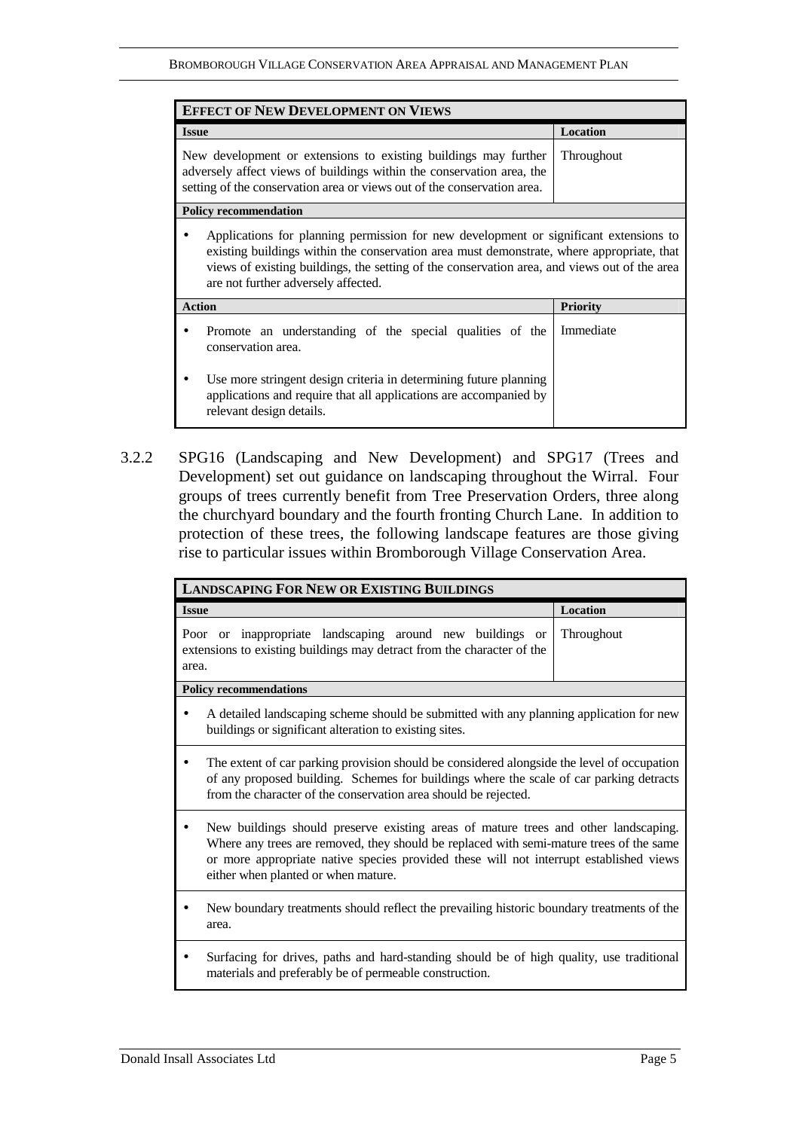| <b>EFFECT OF NEW DEVELOPMENT ON VIEWS</b>                                                                                                                                                                                                                                                                                 |                 |
|---------------------------------------------------------------------------------------------------------------------------------------------------------------------------------------------------------------------------------------------------------------------------------------------------------------------------|-----------------|
| <b>Issue</b>                                                                                                                                                                                                                                                                                                              | Location        |
| New development or extensions to existing buildings may further<br>adversely affect views of buildings within the conservation area, the<br>setting of the conservation area or views out of the conservation area.                                                                                                       | Throughout      |
| <b>Policy recommendation</b>                                                                                                                                                                                                                                                                                              |                 |
| Applications for planning permission for new development or significant extensions to<br>existing buildings within the conservation area must demonstrate, where appropriate, that<br>views of existing buildings, the setting of the conservation area, and views out of the area<br>are not further adversely affected. |                 |
| <b>Action</b>                                                                                                                                                                                                                                                                                                             | <b>Priority</b> |
| Promote an understanding of the special qualities of the<br>conservation area.                                                                                                                                                                                                                                            | Immediate       |
| Use more stringent design criteria in determining future planning<br>applications and require that all applications are accompanied by<br>relevant design details.                                                                                                                                                        |                 |

3.2.2 SPG16 (Landscaping and New Development) and SPG17 (Trees and Development) set out guidance on landscaping throughout the Wirral. Four groups of trees currently benefit from Tree Preservation Orders, three along the churchyard boundary and the fourth fronting Church Lane. In addition to protection of these trees, the following landscape features are those giving rise to particular issues within Bromborough Village Conservation Area.

| <b>LANDSCAPING FOR NEW OR EXISTING BUILDINGS</b>                                                                                                                                                                                                                                                                |            |  |
|-----------------------------------------------------------------------------------------------------------------------------------------------------------------------------------------------------------------------------------------------------------------------------------------------------------------|------------|--|
| <b>Issue</b>                                                                                                                                                                                                                                                                                                    | Location   |  |
| Poor or inappropriate landscaping around new buildings or<br>extensions to existing buildings may detract from the character of the<br>area.                                                                                                                                                                    | Throughout |  |
| <b>Policy recommendations</b>                                                                                                                                                                                                                                                                                   |            |  |
| A detailed landscaping scheme should be submitted with any planning application for new<br>buildings or significant alteration to existing sites.                                                                                                                                                               |            |  |
| The extent of car parking provision should be considered alongside the level of occupation<br>of any proposed building. Schemes for buildings where the scale of car parking detracts<br>from the character of the conservation area should be rejected.                                                        |            |  |
| New buildings should preserve existing areas of mature trees and other landscaping.<br>Where any trees are removed, they should be replaced with semi-mature trees of the same<br>or more appropriate native species provided these will not interrupt established views<br>either when planted or when mature. |            |  |
| New boundary treatments should reflect the prevailing historic boundary treatments of the<br>area.                                                                                                                                                                                                              |            |  |
| Surfacing for drives, paths and hard-standing should be of high quality, use traditional<br>materials and preferably be of permeable construction.                                                                                                                                                              |            |  |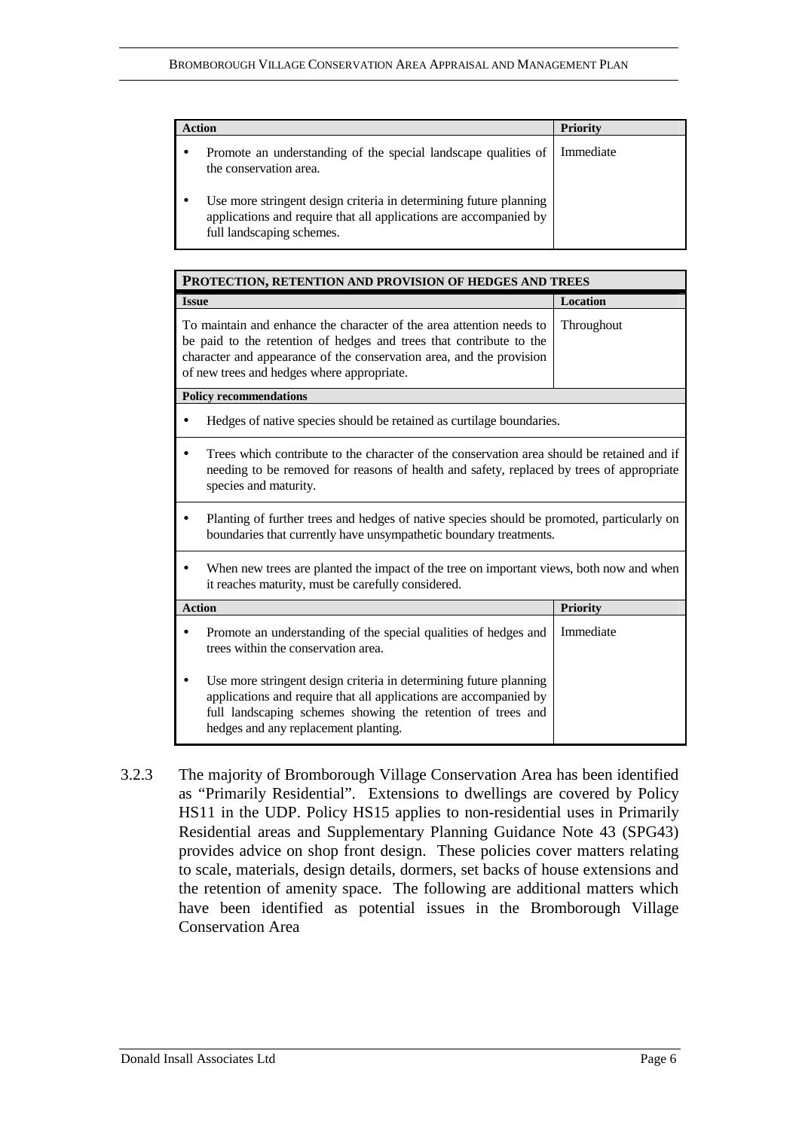| <b>Action</b>                                                                                                                                                       | <b>Priority</b> |
|---------------------------------------------------------------------------------------------------------------------------------------------------------------------|-----------------|
| Promote an understanding of the special landscape qualities of<br>the conservation area.                                                                            | Immediate       |
| Use more stringent design criteria in determining future planning<br>applications and require that all applications are accompanied by<br>full landscaping schemes. |                 |

| PROTECTION, RETENTION AND PROVISION OF HEDGES AND TREES |                                                                                                                                                                                                                                                                   |                 |  |
|---------------------------------------------------------|-------------------------------------------------------------------------------------------------------------------------------------------------------------------------------------------------------------------------------------------------------------------|-----------------|--|
| <b>Issue</b>                                            |                                                                                                                                                                                                                                                                   | Location        |  |
|                                                         | To maintain and enhance the character of the area attention needs to<br>be paid to the retention of hedges and trees that contribute to the<br>character and appearance of the conservation area, and the provision<br>of new trees and hedges where appropriate. | Throughout      |  |
|                                                         | <b>Policy recommendations</b>                                                                                                                                                                                                                                     |                 |  |
|                                                         | Hedges of native species should be retained as curtilage boundaries.                                                                                                                                                                                              |                 |  |
|                                                         | Trees which contribute to the character of the conservation area should be retained and if<br>needing to be removed for reasons of health and safety, replaced by trees of appropriate<br>species and maturity.                                                   |                 |  |
|                                                         | Planting of further trees and hedges of native species should be promoted, particularly on<br>boundaries that currently have unsympathetic boundary treatments.                                                                                                   |                 |  |
|                                                         | When new trees are planted the impact of the tree on important views, both now and when<br>it reaches maturity, must be carefully considered.                                                                                                                     |                 |  |
| <b>Action</b>                                           |                                                                                                                                                                                                                                                                   | <b>Priority</b> |  |
| ٠                                                       | Promote an understanding of the special qualities of hedges and<br>trees within the conservation area.                                                                                                                                                            | Immediate       |  |
|                                                         | Use more stringent design criteria in determining future planning<br>applications and require that all applications are accompanied by<br>full landscaping schemes showing the retention of trees and<br>hedges and any replacement planting.                     |                 |  |

3.2.3 The majority of Bromborough Village Conservation Area has been identified as "Primarily Residential". Extensions to dwellings are covered by Policy HS11 in the UDP. Policy HS15 applies to non-residential uses in Primarily Residential areas and Supplementary Planning Guidance Note 43 (SPG43) provides advice on shop front design. These policies cover matters relating to scale, materials, design details, dormers, set backs of house extensions and the retention of amenity space. The following are additional matters which have been identified as potential issues in the Bromborough Village Conservation Area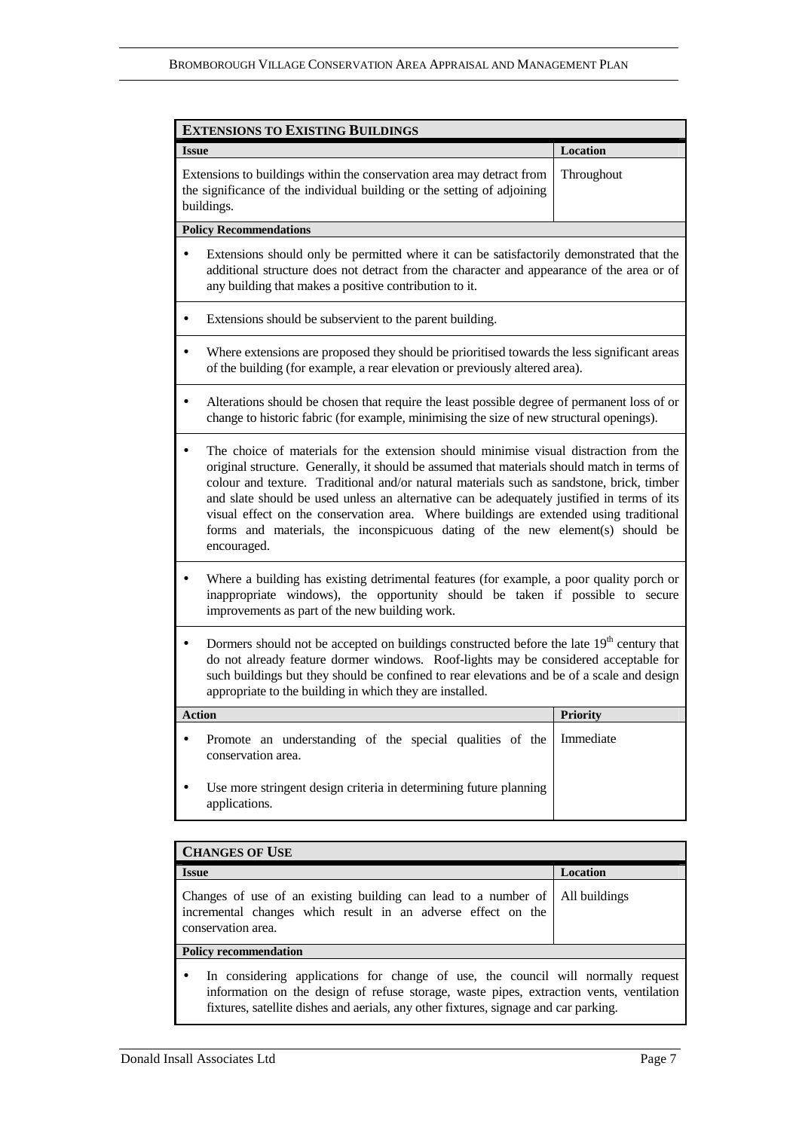| <b>EXTENSIONS TO EXISTING BUILDINGS</b>                                                                                                                                                                                                                                                                                                                                                                                                                                                                                                                                   |            |  |
|---------------------------------------------------------------------------------------------------------------------------------------------------------------------------------------------------------------------------------------------------------------------------------------------------------------------------------------------------------------------------------------------------------------------------------------------------------------------------------------------------------------------------------------------------------------------------|------------|--|
| <b>Issue</b>                                                                                                                                                                                                                                                                                                                                                                                                                                                                                                                                                              | Location   |  |
| Extensions to buildings within the conservation area may detract from<br>the significance of the individual building or the setting of adjoining<br>buildings.                                                                                                                                                                                                                                                                                                                                                                                                            | Throughout |  |
| <b>Policy Recommendations</b>                                                                                                                                                                                                                                                                                                                                                                                                                                                                                                                                             |            |  |
| Extensions should only be permitted where it can be satisfactorily demonstrated that the<br>$\bullet$<br>additional structure does not detract from the character and appearance of the area or of<br>any building that makes a positive contribution to it.                                                                                                                                                                                                                                                                                                              |            |  |
| Extensions should be subservient to the parent building.                                                                                                                                                                                                                                                                                                                                                                                                                                                                                                                  |            |  |
| Where extensions are proposed they should be prioritised towards the less significant areas<br>of the building (for example, a rear elevation or previously altered area).                                                                                                                                                                                                                                                                                                                                                                                                |            |  |
| Alterations should be chosen that require the least possible degree of permanent loss of or<br>٠<br>change to historic fabric (for example, minimising the size of new structural openings).                                                                                                                                                                                                                                                                                                                                                                              |            |  |
| The choice of materials for the extension should minimise visual distraction from the<br>original structure. Generally, it should be assumed that materials should match in terms of<br>colour and texture. Traditional and/or natural materials such as sandstone, brick, timber<br>and slate should be used unless an alternative can be adequately justified in terms of its<br>visual effect on the conservation area. Where buildings are extended using traditional<br>forms and materials, the inconspicuous dating of the new element(s) should be<br>encouraged. |            |  |
| Where a building has existing detrimental features (for example, a poor quality porch or<br>٠<br>inappropriate windows), the opportunity should be taken if possible to secure<br>improvements as part of the new building work.                                                                                                                                                                                                                                                                                                                                          |            |  |
| Dormers should not be accepted on buildings constructed before the late 19 <sup>th</sup> century that<br>do not already feature dormer windows. Roof-lights may be considered acceptable for<br>such buildings but they should be confined to rear elevations and be of a scale and design<br>appropriate to the building in which they are installed.                                                                                                                                                                                                                    |            |  |
| <b>Action</b>                                                                                                                                                                                                                                                                                                                                                                                                                                                                                                                                                             | Priority   |  |
| Promote an understanding of the special qualities of the<br>conservation area.                                                                                                                                                                                                                                                                                                                                                                                                                                                                                            | Immediate  |  |
| Use more stringent design criteria in determining future planning<br>applications.                                                                                                                                                                                                                                                                                                                                                                                                                                                                                        |            |  |
|                                                                                                                                                                                                                                                                                                                                                                                                                                                                                                                                                                           |            |  |

| <b>CHANGES OF USE</b>                                                                                                                                                                                                                                               |                 |  |
|---------------------------------------------------------------------------------------------------------------------------------------------------------------------------------------------------------------------------------------------------------------------|-----------------|--|
| <b>Issue</b>                                                                                                                                                                                                                                                        | <b>Location</b> |  |
| Changes of use of an existing building can lead to a number of<br>incremental changes which result in an adverse effect on the<br>conservation area.                                                                                                                | All buildings   |  |
| <b>Policy recommendation</b>                                                                                                                                                                                                                                        |                 |  |
| In considering applications for change of use, the council will normally request<br>information on the design of refuse storage, waste pipes, extraction vents, ventilation<br>fixtures, satellite dishes and aerials, any other fixtures, signage and car parking. |                 |  |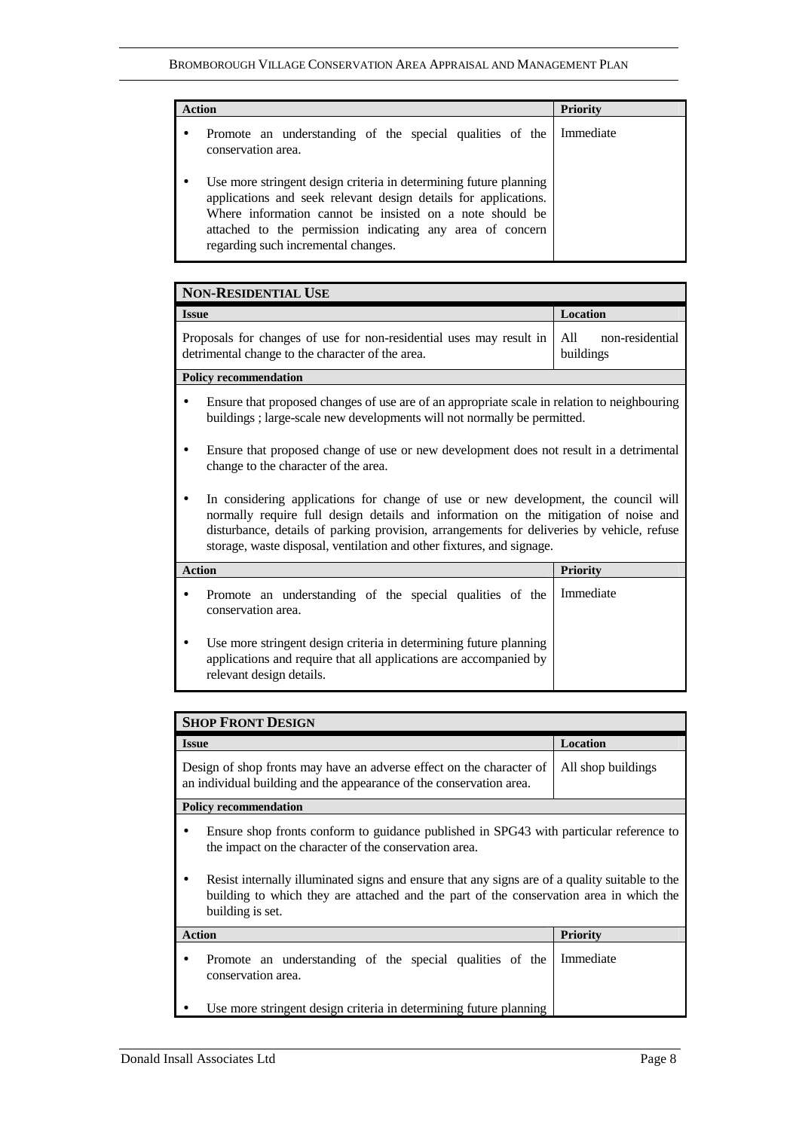| <b>Action</b>                                                                                                                                                                                                                                                                                        | <b>Priority</b> |
|------------------------------------------------------------------------------------------------------------------------------------------------------------------------------------------------------------------------------------------------------------------------------------------------------|-----------------|
| Promote an understanding of the special qualities of the<br>conservation area.                                                                                                                                                                                                                       | Immediate       |
| Use more stringent design criteria in determining future planning<br>applications and seek relevant design details for applications.<br>Where information cannot be insisted on a note should be<br>attached to the permission indicating any area of concern<br>regarding such incremental changes. |                 |

| <b>NON-RESIDENTIAL USE</b>                                                                                                                                                                                                                                                                                                                      |                                     |  |
|-------------------------------------------------------------------------------------------------------------------------------------------------------------------------------------------------------------------------------------------------------------------------------------------------------------------------------------------------|-------------------------------------|--|
| <b>Issue</b>                                                                                                                                                                                                                                                                                                                                    | Location                            |  |
| Proposals for changes of use for non-residential uses may result in<br>detrimental change to the character of the area.                                                                                                                                                                                                                         | A11<br>non-residential<br>buildings |  |
| <b>Policy recommendation</b>                                                                                                                                                                                                                                                                                                                    |                                     |  |
| Ensure that proposed changes of use are of an appropriate scale in relation to neighbouring<br>buildings; large-scale new developments will not normally be permitted.                                                                                                                                                                          |                                     |  |
| Ensure that proposed change of use or new development does not result in a detrimental<br>change to the character of the area.                                                                                                                                                                                                                  |                                     |  |
| In considering applications for change of use or new development, the council will<br>normally require full design details and information on the mitigation of noise and<br>disturbance, details of parking provision, arrangements for deliveries by vehicle, refuse<br>storage, waste disposal, ventilation and other fixtures, and signage. |                                     |  |
| <b>Action</b>                                                                                                                                                                                                                                                                                                                                   | <b>Priority</b>                     |  |
| Promote an understanding of the special qualities of the<br>conservation area.                                                                                                                                                                                                                                                                  | Immediate                           |  |
| Use more stringent design criteria in determining future planning<br>applications and require that all applications are accompanied by<br>relevant design details.                                                                                                                                                                              |                                     |  |

| <b>SHOP FRONT DESIGN</b>                                                                                                                                                                                                                                                                                                                                        |                    |  |
|-----------------------------------------------------------------------------------------------------------------------------------------------------------------------------------------------------------------------------------------------------------------------------------------------------------------------------------------------------------------|--------------------|--|
| <b>Issue</b>                                                                                                                                                                                                                                                                                                                                                    | <b>Location</b>    |  |
| Design of shop fronts may have an adverse effect on the character of<br>an individual building and the appearance of the conservation area.                                                                                                                                                                                                                     | All shop buildings |  |
| <b>Policy recommendation</b>                                                                                                                                                                                                                                                                                                                                    |                    |  |
| Ensure shop fronts conform to guidance published in SPG43 with particular reference to<br>the impact on the character of the conservation area.<br>Resist internally illuminated signs and ensure that any signs are of a quality suitable to the<br>building to which they are attached and the part of the conservation area in which the<br>building is set. |                    |  |
| <b>Action</b>                                                                                                                                                                                                                                                                                                                                                   | <b>Priority</b>    |  |
| Promote an understanding of the special qualities of the<br>conservation area.                                                                                                                                                                                                                                                                                  | Immediate          |  |
| Use more stringent design criteria in determining future planning                                                                                                                                                                                                                                                                                               |                    |  |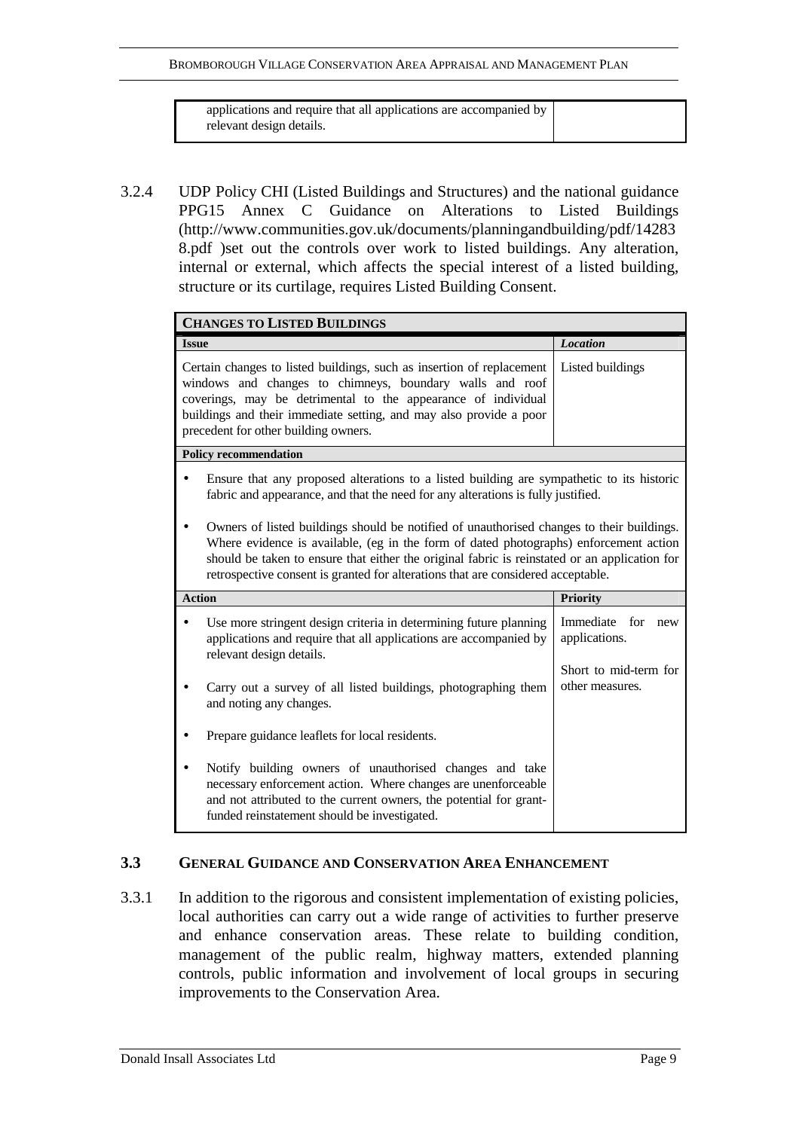BROMBOROUGH VILLAGE CONSERVATION AREA APPRAISAL AND MANAGEMENT PLAN

applications and require that all applications are accompanied by relevant design details.

3.2.4 UDP Policy CHI (Listed Buildings and Structures) and the national guidance PPG15 Annex C Guidance on Alterations to Listed Buildings (http://www.communities.gov.uk/documents/planningandbuilding/pdf/14283 8.pdf )set out the controls over work to listed buildings. Any alteration, internal or external, which affects the special interest of a listed building, structure or its curtilage, requires Listed Building Consent.

| <b>CHANGES TO LISTED BUILDINGS</b>                                                                                                                                                                                                                                                                                                                                      |                                                                                                                                                                                                                                                                                                                  |                                          |
|-------------------------------------------------------------------------------------------------------------------------------------------------------------------------------------------------------------------------------------------------------------------------------------------------------------------------------------------------------------------------|------------------------------------------------------------------------------------------------------------------------------------------------------------------------------------------------------------------------------------------------------------------------------------------------------------------|------------------------------------------|
| <b>Issue</b>                                                                                                                                                                                                                                                                                                                                                            |                                                                                                                                                                                                                                                                                                                  | <b>Location</b>                          |
|                                                                                                                                                                                                                                                                                                                                                                         | Certain changes to listed buildings, such as insertion of replacement<br>windows and changes to chimneys, boundary walls and roof<br>coverings, may be detrimental to the appearance of individual<br>buildings and their immediate setting, and may also provide a poor<br>precedent for other building owners. | Listed buildings                         |
|                                                                                                                                                                                                                                                                                                                                                                         | <b>Policy recommendation</b>                                                                                                                                                                                                                                                                                     |                                          |
|                                                                                                                                                                                                                                                                                                                                                                         | Ensure that any proposed alterations to a listed building are sympathetic to its historic<br>fabric and appearance, and that the need for any alterations is fully justified.                                                                                                                                    |                                          |
| Owners of listed buildings should be notified of unauthorised changes to their buildings.<br>Where evidence is available, (eg in the form of dated photographs) enforcement action<br>should be taken to ensure that either the original fabric is reinstated or an application for<br>retrospective consent is granted for alterations that are considered acceptable. |                                                                                                                                                                                                                                                                                                                  |                                          |
| <b>Action</b>                                                                                                                                                                                                                                                                                                                                                           |                                                                                                                                                                                                                                                                                                                  | <b>Priority</b>                          |
|                                                                                                                                                                                                                                                                                                                                                                         | Use more stringent design criteria in determining future planning<br>applications and require that all applications are accompanied by<br>relevant design details.                                                                                                                                               | Immediate for<br>new<br>applications.    |
|                                                                                                                                                                                                                                                                                                                                                                         | Carry out a survey of all listed buildings, photographing them<br>and noting any changes.                                                                                                                                                                                                                        | Short to mid-term for<br>other measures. |
|                                                                                                                                                                                                                                                                                                                                                                         | Prepare guidance leaflets for local residents.                                                                                                                                                                                                                                                                   |                                          |
|                                                                                                                                                                                                                                                                                                                                                                         | Notify building owners of unauthorised changes and take<br>necessary enforcement action. Where changes are unenforceable<br>and not attributed to the current owners, the potential for grant-<br>funded reinstatement should be investigated.                                                                   |                                          |

# **3.3 GENERAL GUIDANCE AND CONSERVATION AREA ENHANCEMENT**

3.3.1 In addition to the rigorous and consistent implementation of existing policies, local authorities can carry out a wide range of activities to further preserve and enhance conservation areas. These relate to building condition, management of the public realm, highway matters, extended planning controls, public information and involvement of local groups in securing improvements to the Conservation Area.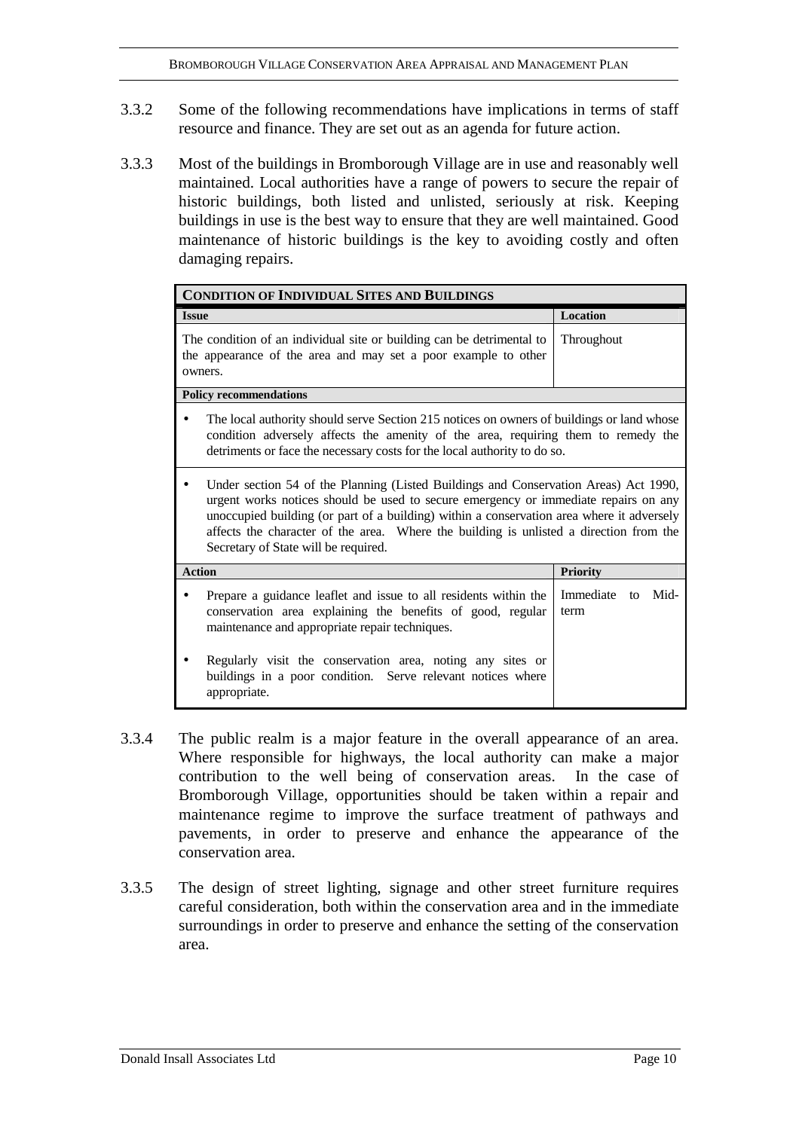- 3.3.2 Some of the following recommendations have implications in terms of staff resource and finance. They are set out as an agenda for future action.
- 3.3.3 Most of the buildings in Bromborough Village are in use and reasonably well maintained. Local authorities have a range of powers to secure the repair of historic buildings, both listed and unlisted, seriously at risk. Keeping buildings in use is the best way to ensure that they are well maintained. Good maintenance of historic buildings is the key to avoiding costly and often damaging repairs.

| <b>CONDITION OF INDIVIDUAL SITES AND BUILDINGS</b>                                                                                                                                                                                                                                                                                                                                                         |                                 |  |
|------------------------------------------------------------------------------------------------------------------------------------------------------------------------------------------------------------------------------------------------------------------------------------------------------------------------------------------------------------------------------------------------------------|---------------------------------|--|
| <b>Issue</b>                                                                                                                                                                                                                                                                                                                                                                                               | Location                        |  |
| The condition of an individual site or building can be detrimental to<br>the appearance of the area and may set a poor example to other<br>owners.                                                                                                                                                                                                                                                         | Throughout                      |  |
| <b>Policy recommendations</b>                                                                                                                                                                                                                                                                                                                                                                              |                                 |  |
| The local authority should serve Section 215 notices on owners of buildings or land whose<br>condition adversely affects the amenity of the area, requiring them to remedy the<br>detriments or face the necessary costs for the local authority to do so.                                                                                                                                                 |                                 |  |
| Under section 54 of the Planning (Listed Buildings and Conservation Areas) Act 1990,<br>urgent works notices should be used to secure emergency or immediate repairs on any<br>unoccupied building (or part of a building) within a conservation area where it adversely<br>affects the character of the area. Where the building is unlisted a direction from the<br>Secretary of State will be required. |                                 |  |
| <b>Action</b>                                                                                                                                                                                                                                                                                                                                                                                              | <b>Priority</b>                 |  |
| Prepare a guidance leaflet and issue to all residents within the<br>conservation area explaining the benefits of good, regular<br>maintenance and appropriate repair techniques.                                                                                                                                                                                                                           | Immediate<br>Mid-<br>to<br>term |  |
| Regularly visit the conservation area, noting any sites or<br>buildings in a poor condition. Serve relevant notices where<br>appropriate.                                                                                                                                                                                                                                                                  |                                 |  |

- 3.3.4 The public realm is a major feature in the overall appearance of an area. Where responsible for highways, the local authority can make a major contribution to the well being of conservation areas. In the case of Bromborough Village, opportunities should be taken within a repair and maintenance regime to improve the surface treatment of pathways and pavements, in order to preserve and enhance the appearance of the conservation area.
- 3.3.5 The design of street lighting, signage and other street furniture requires careful consideration, both within the conservation area and in the immediate surroundings in order to preserve and enhance the setting of the conservation area.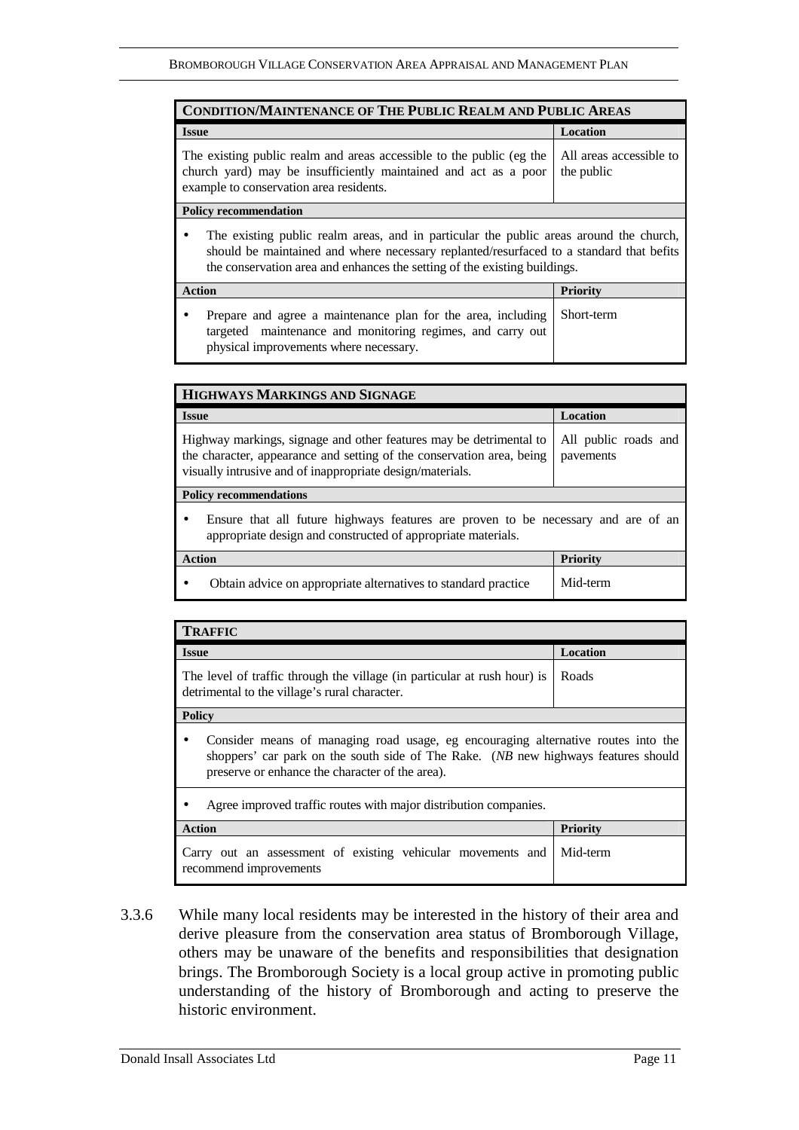| <b>CONDITION/MAINTENANCE OF THE PUBLIC REALM AND PUBLIC AREAS</b>                                                                                                                                                                                              |                                       |  |
|----------------------------------------------------------------------------------------------------------------------------------------------------------------------------------------------------------------------------------------------------------------|---------------------------------------|--|
| <b>Issue</b>                                                                                                                                                                                                                                                   | Location                              |  |
| The existing public realm and areas accessible to the public (eg the<br>church yard) may be insufficiently maintained and act as a poor<br>example to conservation area residents.                                                                             | All areas accessible to<br>the public |  |
| <b>Policy recommendation</b>                                                                                                                                                                                                                                   |                                       |  |
| The existing public realm areas, and in particular the public areas around the church,<br>should be maintained and where necessary replanted/resurfaced to a standard that befits<br>the conservation area and enhances the setting of the existing buildings. |                                       |  |

| Prepare and agree a maintenance plan for the area, including Short-term                                |  |
|--------------------------------------------------------------------------------------------------------|--|
| targeted maintenance and monitoring regimes, and carry out  <br>physical improvements where necessary. |  |

| HIGHWAYS MARKINGS AND SIGNAGE                                                                                                                                                                            |                                   |  |
|----------------------------------------------------------------------------------------------------------------------------------------------------------------------------------------------------------|-----------------------------------|--|
| <b>Issue</b>                                                                                                                                                                                             | <b>Location</b>                   |  |
| Highway markings, signage and other features may be detrimental to<br>the character, appearance and setting of the conservation area, being<br>visually intrusive and of inappropriate design/materials. | All public roads and<br>pavements |  |
| <b>Policy recommendations</b>                                                                                                                                                                            |                                   |  |
| Ensure that all future highways features are proven to be necessary and are of an<br>$\bullet$<br>appropriate design and constructed of appropriate materials.                                           |                                   |  |
| <b>Action</b>                                                                                                                                                                                            | <b>Priority</b>                   |  |
| Obtain advice on appropriate alternatives to standard practice                                                                                                                                           | Mid-term                          |  |

| <b>TRAFFIC</b>                                                                                                                                                                                                                  |                 |  |
|---------------------------------------------------------------------------------------------------------------------------------------------------------------------------------------------------------------------------------|-----------------|--|
| <b>Issue</b>                                                                                                                                                                                                                    | <b>Location</b> |  |
| The level of traffic through the village (in particular at rush hour) is<br>detrimental to the village's rural character.                                                                                                       | Roads           |  |
| <b>Policy</b>                                                                                                                                                                                                                   |                 |  |
| Consider means of managing road usage, eg encouraging alternative routes into the<br>٠<br>shoppers' car park on the south side of The Rake. (NB new highways features should<br>preserve or enhance the character of the area). |                 |  |
| Agree improved traffic routes with major distribution companies.                                                                                                                                                                |                 |  |
| <b>Action</b>                                                                                                                                                                                                                   | <b>Priority</b> |  |
| Carry out an assessment of existing vehicular movements and<br>recommend improvements                                                                                                                                           | Mid-term        |  |

3.3.6 While many local residents may be interested in the history of their area and derive pleasure from the conservation area status of Bromborough Village, others may be unaware of the benefits and responsibilities that designation brings. The Bromborough Society is a local group active in promoting public understanding of the history of Bromborough and acting to preserve the historic environment.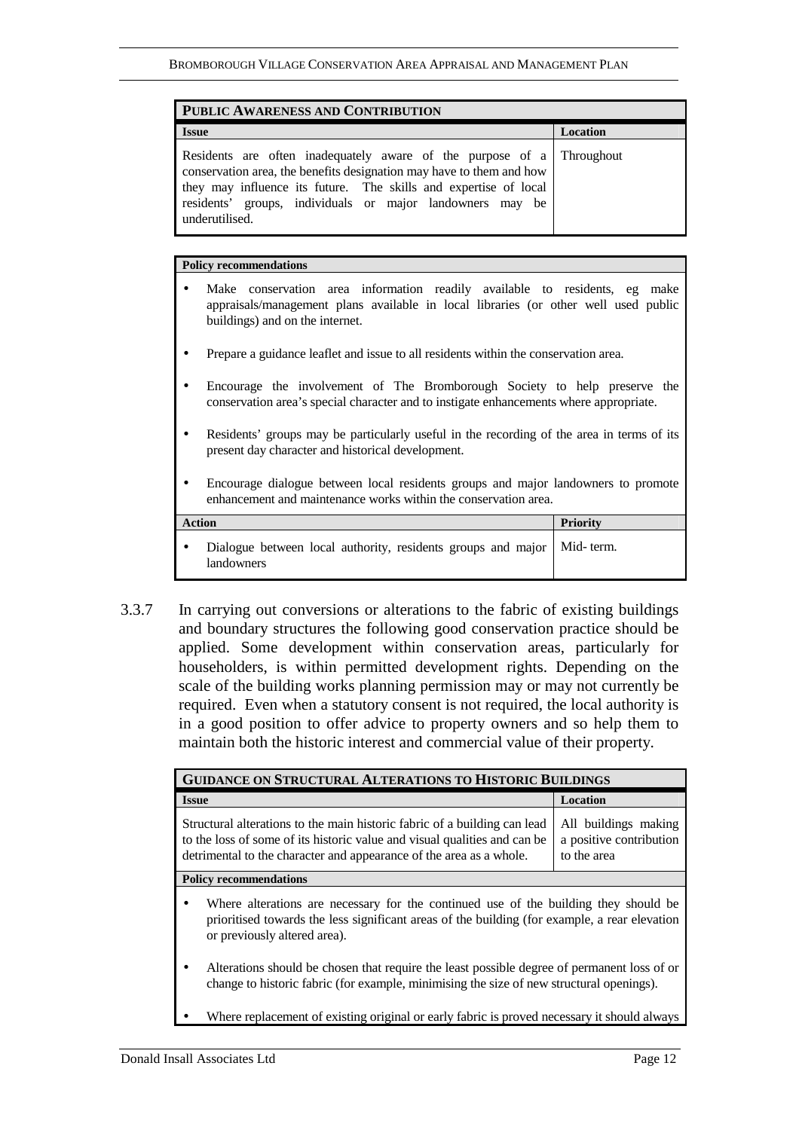| PUBLIC AWARENESS AND CONTRIBUTION                                                                                                                                                                                                                                                                |          |
|--------------------------------------------------------------------------------------------------------------------------------------------------------------------------------------------------------------------------------------------------------------------------------------------------|----------|
| <b>Issue</b>                                                                                                                                                                                                                                                                                     | Location |
| Residents are often inadequately aware of the purpose of a Throughout<br>conservation area, the benefits designation may have to them and how<br>they may influence its future. The skills and expertise of local<br>residents' groups, individuals or major landowners may be<br>underutilised. |          |

#### **Policy recommendations**

- Make conservation area information readily available to residents, eg make appraisals/management plans available in local libraries (or other well used public buildings) and on the internet.
- Prepare a guidance leaflet and issue to all residents within the conservation area.
- Encourage the involvement of The Bromborough Society to help preserve the conservation area's special character and to instigate enhancements where appropriate.
- Residents' groups may be particularly useful in the recording of the area in terms of its present day character and historical development.
- Encourage dialogue between local residents groups and major landowners to promote enhancement and maintenance works within the conservation area.

| <b>Action</b>                                                                          | <b>Priority</b> |
|----------------------------------------------------------------------------------------|-----------------|
| Dialogue between local authority, residents groups and major   Mid-term.<br>landowners |                 |

3.3.7 In carrying out conversions or alterations to the fabric of existing buildings and boundary structures the following good conservation practice should be applied. Some development within conservation areas, particularly for householders, is within permitted development rights. Depending on the scale of the building works planning permission may or may not currently be required. Even when a statutory consent is not required, the local authority is in a good position to offer advice to property owners and so help them to maintain both the historic interest and commercial value of their property.

| <b>GUIDANCE ON STRUCTURAL ALTERATIONS TO HISTORIC BUILDINGS</b>                                                                                                                                                               |                                                                |  |
|-------------------------------------------------------------------------------------------------------------------------------------------------------------------------------------------------------------------------------|----------------------------------------------------------------|--|
| <b>Issue</b>                                                                                                                                                                                                                  | <b>Location</b>                                                |  |
| Structural alterations to the main historic fabric of a building can lead<br>to the loss of some of its historic value and visual qualities and can be<br>detrimental to the character and appearance of the area as a whole. | All buildings making<br>a positive contribution<br>to the area |  |
| <b>Policy recommendations</b>                                                                                                                                                                                                 |                                                                |  |
| Where alterations are necessary for the continued use of the building they should be<br>٠<br>prioritised towards the less significant areas of the building (for example, a rear elevation<br>or previously altered area).    |                                                                |  |
| Alterations should be chosen that require the least possible degree of permanent loss of or<br>٠<br>change to historic fabric (for example, minimising the size of new structural openings).                                  |                                                                |  |
| Where replacement of existing original or early fabric is proved necessary it should always                                                                                                                                   |                                                                |  |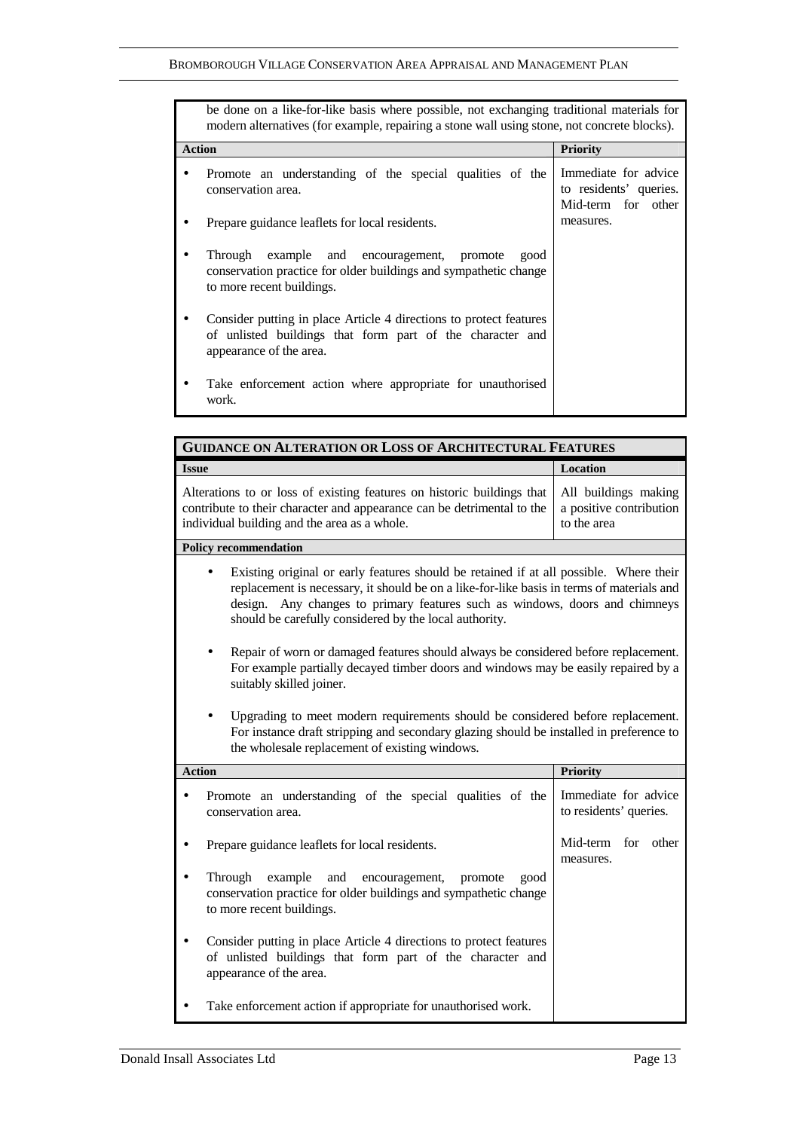|               | be done on a like-for-like basis where possible, not exchanging traditional materials for<br>modern alternatives (for example, repairing a stone wall using stone, not concrete blocks). |                                                                      |
|---------------|------------------------------------------------------------------------------------------------------------------------------------------------------------------------------------------|----------------------------------------------------------------------|
| <b>Action</b> |                                                                                                                                                                                          | <b>Priority</b>                                                      |
|               | Promote an understanding of the special qualities of the<br>conservation area.                                                                                                           | Immediate for advice<br>to residents' queries.<br>Mid-term for other |
|               | Prepare guidance leaflets for local residents.                                                                                                                                           | measures.                                                            |
|               | Through<br>example and encouragement, promote<br>good<br>conservation practice for older buildings and sympathetic change<br>to more recent buildings.                                   |                                                                      |
|               | Consider putting in place Article 4 directions to protect features<br>of unlisted buildings that form part of the character and<br>appearance of the area.                               |                                                                      |
|               | Take enforcement action where appropriate for unauthorised<br>work.                                                                                                                      |                                                                      |

| <b>GUIDANCE ON ALTERATION OR LOSS OF ARCHITECTURAL FEATURES</b>                                                                                                                                                                                                                                                              |                                                                |  |
|------------------------------------------------------------------------------------------------------------------------------------------------------------------------------------------------------------------------------------------------------------------------------------------------------------------------------|----------------------------------------------------------------|--|
| <b>Issue</b>                                                                                                                                                                                                                                                                                                                 | Location                                                       |  |
| Alterations to or loss of existing features on historic buildings that<br>contribute to their character and appearance can be detrimental to the<br>individual building and the area as a whole.                                                                                                                             | All buildings making<br>a positive contribution<br>to the area |  |
| <b>Policy recommendation</b>                                                                                                                                                                                                                                                                                                 |                                                                |  |
| Existing original or early features should be retained if at all possible. Where their<br>replacement is necessary, it should be on a like-for-like basis in terms of materials and<br>design. Any changes to primary features such as windows, doors and chimneys<br>should be carefully considered by the local authority. |                                                                |  |
| Repair of worn or damaged features should always be considered before replacement.<br>For example partially decayed timber doors and windows may be easily repaired by a<br>suitably skilled joiner.                                                                                                                         |                                                                |  |
| Upgrading to meet modern requirements should be considered before replacement.<br>For instance draft stripping and secondary glazing should be installed in preference to<br>the wholesale replacement of existing windows.                                                                                                  |                                                                |  |
| <b>Action</b>                                                                                                                                                                                                                                                                                                                | <b>Priority</b>                                                |  |
| Promote an understanding of the special qualities of the<br>conservation area.                                                                                                                                                                                                                                               | Immediate for advice<br>to residents' queries.                 |  |
| Prepare guidance leaflets for local residents.                                                                                                                                                                                                                                                                               | Mid-term<br>for<br>other<br>measures.                          |  |
| Through<br>example<br>and<br>encouragement,<br>promote<br>good<br>conservation practice for older buildings and sympathetic change<br>to more recent buildings.                                                                                                                                                              |                                                                |  |
| Consider putting in place Article 4 directions to protect features<br>of unlisted buildings that form part of the character and<br>appearance of the area.                                                                                                                                                                   |                                                                |  |
| Take enforcement action if appropriate for unauthorised work.                                                                                                                                                                                                                                                                |                                                                |  |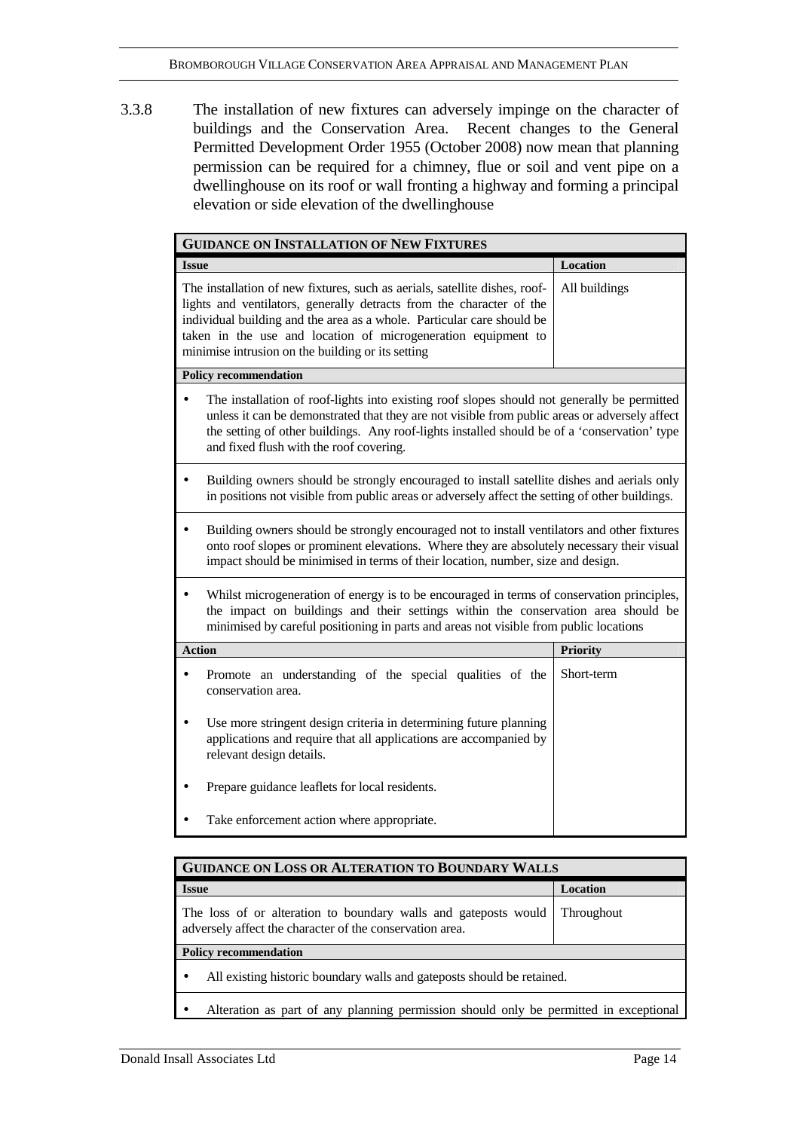3.3.8 The installation of new fixtures can adversely impinge on the character of buildings and the Conservation Area. Recent changes to the General Permitted Development Order 1955 (October 2008) now mean that planning permission can be required for a chimney, flue or soil and vent pipe on a dwellinghouse on its roof or wall fronting a highway and forming a principal elevation or side elevation of the dwellinghouse

| <b>GUIDANCE ON INSTALLATION OF NEW FIXTURES</b>                                                                                                                                                                                                                                                                                                    |                 |  |
|----------------------------------------------------------------------------------------------------------------------------------------------------------------------------------------------------------------------------------------------------------------------------------------------------------------------------------------------------|-----------------|--|
| <b>Issue</b>                                                                                                                                                                                                                                                                                                                                       | Location        |  |
| The installation of new fixtures, such as aerials, satellite dishes, roof-<br>lights and ventilators, generally detracts from the character of the<br>individual building and the area as a whole. Particular care should be<br>taken in the use and location of microgeneration equipment to<br>minimise intrusion on the building or its setting | All buildings   |  |
| <b>Policy recommendation</b>                                                                                                                                                                                                                                                                                                                       |                 |  |
| The installation of roof-lights into existing roof slopes should not generally be permitted<br>unless it can be demonstrated that they are not visible from public areas or adversely affect<br>the setting of other buildings. Any roof-lights installed should be of a 'conservation' type<br>and fixed flush with the roof covering.            |                 |  |
| Building owners should be strongly encouraged to install satellite dishes and aerials only<br>$\bullet$<br>in positions not visible from public areas or adversely affect the setting of other buildings.                                                                                                                                          |                 |  |
| Building owners should be strongly encouraged not to install ventilators and other fixtures<br>$\bullet$<br>onto roof slopes or prominent elevations. Where they are absolutely necessary their visual<br>impact should be minimised in terms of their location, number, size and design.                                                          |                 |  |
| Whilst microgeneration of energy is to be encouraged in terms of conservation principles,<br>the impact on buildings and their settings within the conservation area should be<br>minimised by careful positioning in parts and areas not visible from public locations                                                                            |                 |  |
| <b>Action</b>                                                                                                                                                                                                                                                                                                                                      | <b>Priority</b> |  |
| Promote an understanding of the special qualities of the<br>conservation area.                                                                                                                                                                                                                                                                     | Short-term      |  |
| Use more stringent design criteria in determining future planning<br>applications and require that all applications are accompanied by<br>relevant design details.                                                                                                                                                                                 |                 |  |
| Prepare guidance leaflets for local residents.                                                                                                                                                                                                                                                                                                     |                 |  |
| Take enforcement action where appropriate.                                                                                                                                                                                                                                                                                                         |                 |  |

| <b>GUIDANCE ON LOSS OR ALTERATION TO BOUNDARY WALLS</b>                                                                     |                   |  |
|-----------------------------------------------------------------------------------------------------------------------------|-------------------|--|
| <b>Issue</b>                                                                                                                | <b>Location</b>   |  |
| The loss of or alteration to boundary walls and gateposts would<br>adversely affect the character of the conservation area. | <b>Throughout</b> |  |
| <b>Policy recommendation</b>                                                                                                |                   |  |
| All existing historic boundary walls and gateposts should be retained.                                                      |                   |  |
| Alteration as part of any planning permission should only be permitted in exceptional                                       |                   |  |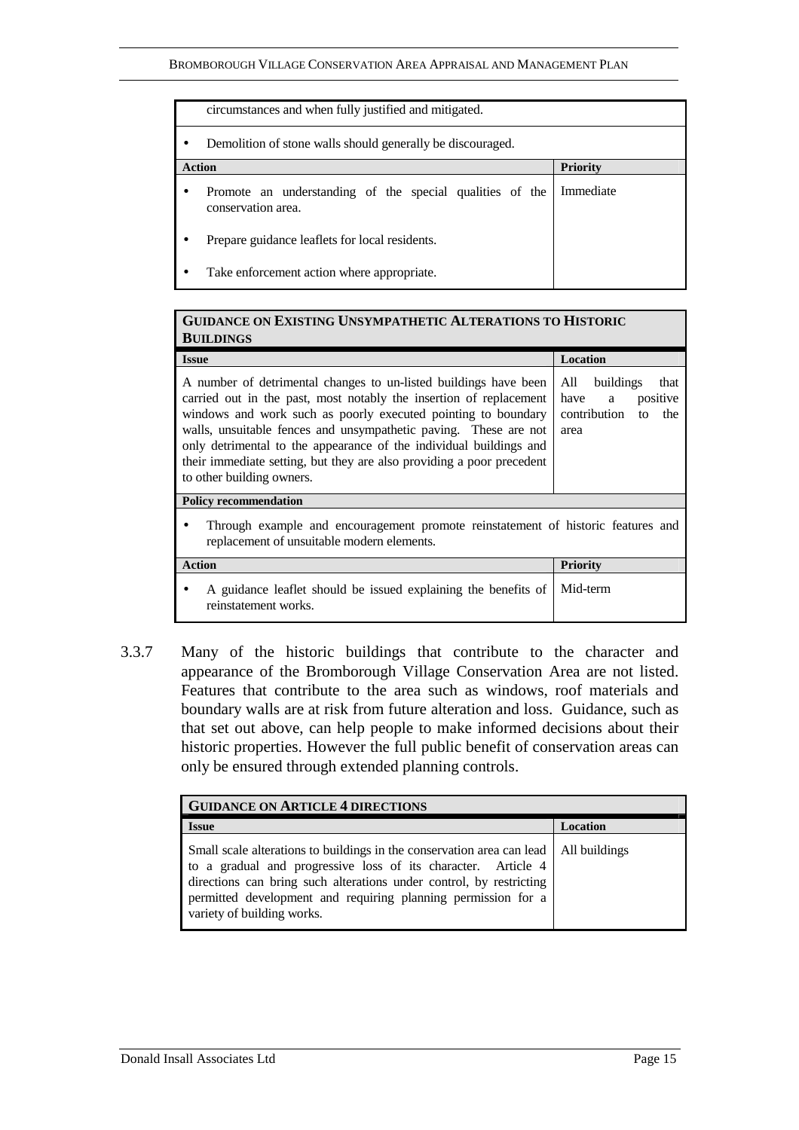| circumstances and when fully justified and mitigated.                          |                 |  |
|--------------------------------------------------------------------------------|-----------------|--|
| Demolition of stone walls should generally be discouraged.                     |                 |  |
| <b>Action</b>                                                                  | <b>Priority</b> |  |
| Promote an understanding of the special qualities of the<br>conservation area. | Immediate       |  |
| Prepare guidance leaflets for local residents.                                 |                 |  |
| Take enforcement action where appropriate.<br>٠                                |                 |  |

#### **GUIDANCE ON EXISTING UNSYMPATHETIC ALTERATIONS TO HISTORIC BUILDINGS**

| <b>Issue</b>                                                                                                                                                                                                                                                                                                                                                                                                                                            | Location                                                                            |  |
|---------------------------------------------------------------------------------------------------------------------------------------------------------------------------------------------------------------------------------------------------------------------------------------------------------------------------------------------------------------------------------------------------------------------------------------------------------|-------------------------------------------------------------------------------------|--|
| A number of detrimental changes to un-listed buildings have been<br>carried out in the past, most notably the insertion of replacement<br>windows and work such as poorly executed pointing to boundary<br>walls, unsuitable fences and unsympathetic paving. These are not<br>only detrimental to the appearance of the individual buildings and<br>their immediate setting, but they are also providing a poor precedent<br>to other building owners. | buildings<br>that<br>All<br>positive<br>have a<br>contribution<br>the<br>to<br>area |  |
| <b>Policy recommendation</b>                                                                                                                                                                                                                                                                                                                                                                                                                            |                                                                                     |  |
| Through example and encouragement promote reinstatement of historic features and<br>replacement of unsuitable modern elements.                                                                                                                                                                                                                                                                                                                          |                                                                                     |  |
| <b>Action</b>                                                                                                                                                                                                                                                                                                                                                                                                                                           | <b>Priority</b>                                                                     |  |
| A guidance leaflet should be issued explaining the benefits of<br>reinstatement works.                                                                                                                                                                                                                                                                                                                                                                  | Mid-term                                                                            |  |

3.3.7 Many of the historic buildings that contribute to the character and appearance of the Bromborough Village Conservation Area are not listed. Features that contribute to the area such as windows, roof materials and boundary walls are at risk from future alteration and loss. Guidance, such as that set out above, can help people to make informed decisions about their historic properties. However the full public benefit of conservation areas can only be ensured through extended planning controls.

| <b>GUIDANCE ON ARTICLE 4 DIRECTIONS</b>                                                                                                                                                                                                                                                                                       |                 |  |
|-------------------------------------------------------------------------------------------------------------------------------------------------------------------------------------------------------------------------------------------------------------------------------------------------------------------------------|-----------------|--|
| <b>Issue</b>                                                                                                                                                                                                                                                                                                                  | <b>Location</b> |  |
| Small scale alterations to buildings in the conservation area can lead   All buildings<br>to a gradual and progressive loss of its character. Article 4<br>directions can bring such alterations under control, by restricting<br>permitted development and requiring planning permission for a<br>variety of building works. |                 |  |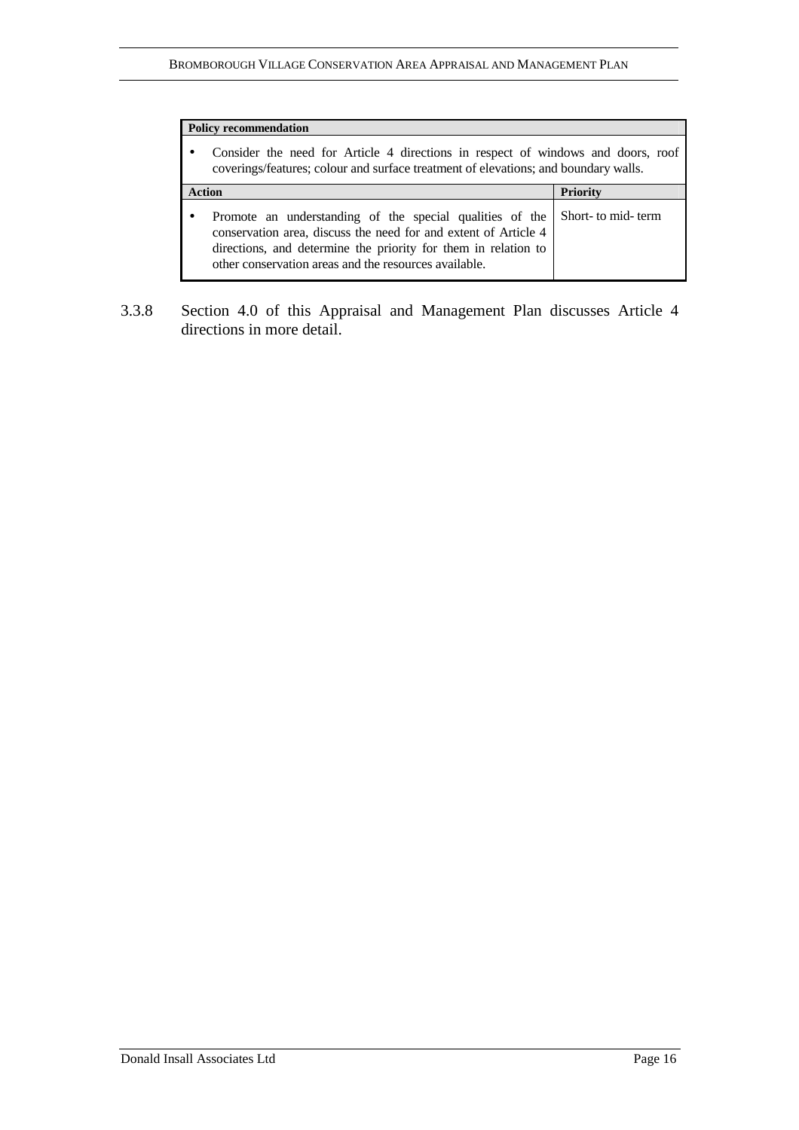| <b>Policy recommendation</b>                                                                                                                                                                                                                           |                     |  |
|--------------------------------------------------------------------------------------------------------------------------------------------------------------------------------------------------------------------------------------------------------|---------------------|--|
| Consider the need for Article 4 directions in respect of windows and doors, roof<br>coverings/features; colour and surface treatment of elevations; and boundary walls.                                                                                |                     |  |
| <b>Action</b>                                                                                                                                                                                                                                          | <b>Priority</b>     |  |
| Promote an understanding of the special qualities of the<br>conservation area, discuss the need for and extent of Article 4<br>directions, and determine the priority for them in relation to<br>other conservation areas and the resources available. | Short- to mid- term |  |

3.3.8 Section 4.0 of this Appraisal and Management Plan discusses Article 4 directions in more detail.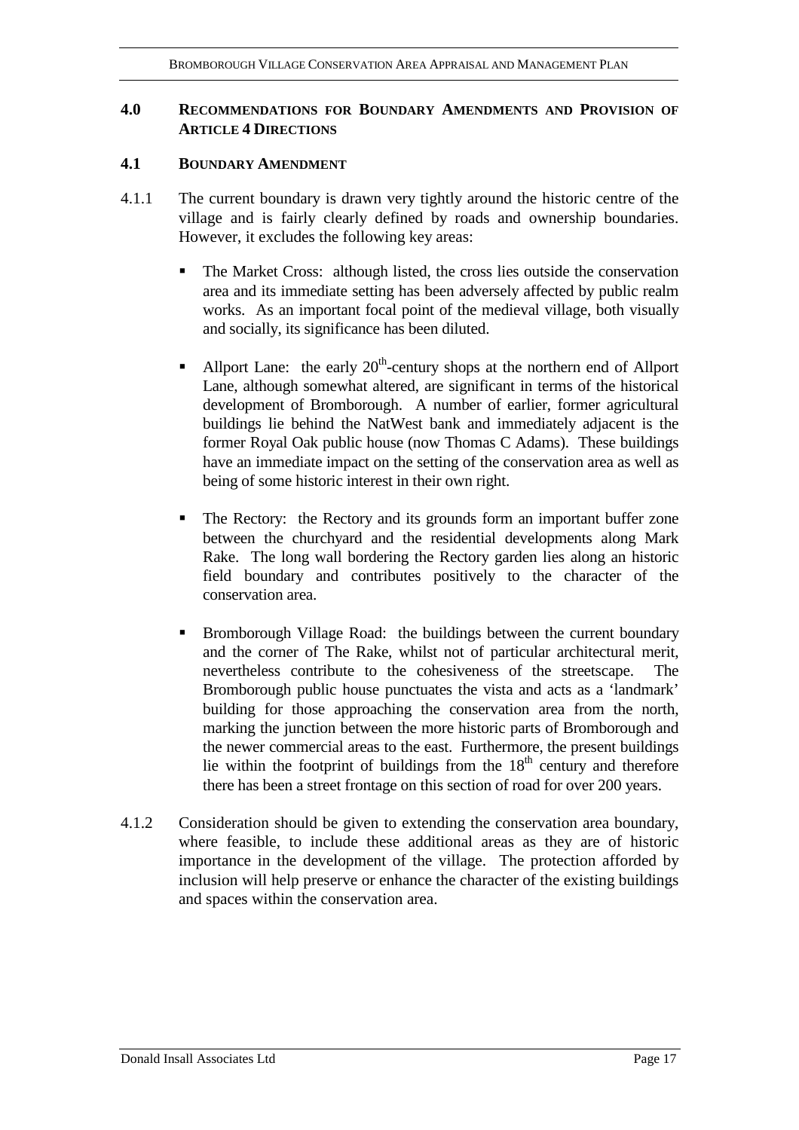# **4.0 RECOMMENDATIONS FOR BOUNDARY AMENDMENTS AND PROVISION OF ARTICLE 4 DIRECTIONS**

## **4.1 BOUNDARY AMENDMENT**

- 4.1.1 The current boundary is drawn very tightly around the historic centre of the village and is fairly clearly defined by roads and ownership boundaries. However, it excludes the following key areas:
	- The Market Cross: although listed, the cross lies outside the conservation area and its immediate setting has been adversely affected by public realm works. As an important focal point of the medieval village, both visually and socially, its significance has been diluted.
	- Allport Lane: the early  $20<sup>th</sup>$ -century shops at the northern end of Allport Lane, although somewhat altered, are significant in terms of the historical development of Bromborough. A number of earlier, former agricultural buildings lie behind the NatWest bank and immediately adjacent is the former Royal Oak public house (now Thomas C Adams). These buildings have an immediate impact on the setting of the conservation area as well as being of some historic interest in their own right.
	- The Rectory: the Rectory and its grounds form an important buffer zone between the churchyard and the residential developments along Mark Rake. The long wall bordering the Rectory garden lies along an historic field boundary and contributes positively to the character of the conservation area.
	- Bromborough Village Road: the buildings between the current boundary and the corner of The Rake, whilst not of particular architectural merit, nevertheless contribute to the cohesiveness of the streetscape. The Bromborough public house punctuates the vista and acts as a 'landmark' building for those approaching the conservation area from the north, marking the junction between the more historic parts of Bromborough and the newer commercial areas to the east. Furthermore, the present buildings lie within the footprint of buildings from the  $18<sup>th</sup>$  century and therefore there has been a street frontage on this section of road for over 200 years.
- 4.1.2 Consideration should be given to extending the conservation area boundary, where feasible, to include these additional areas as they are of historic importance in the development of the village. The protection afforded by inclusion will help preserve or enhance the character of the existing buildings and spaces within the conservation area.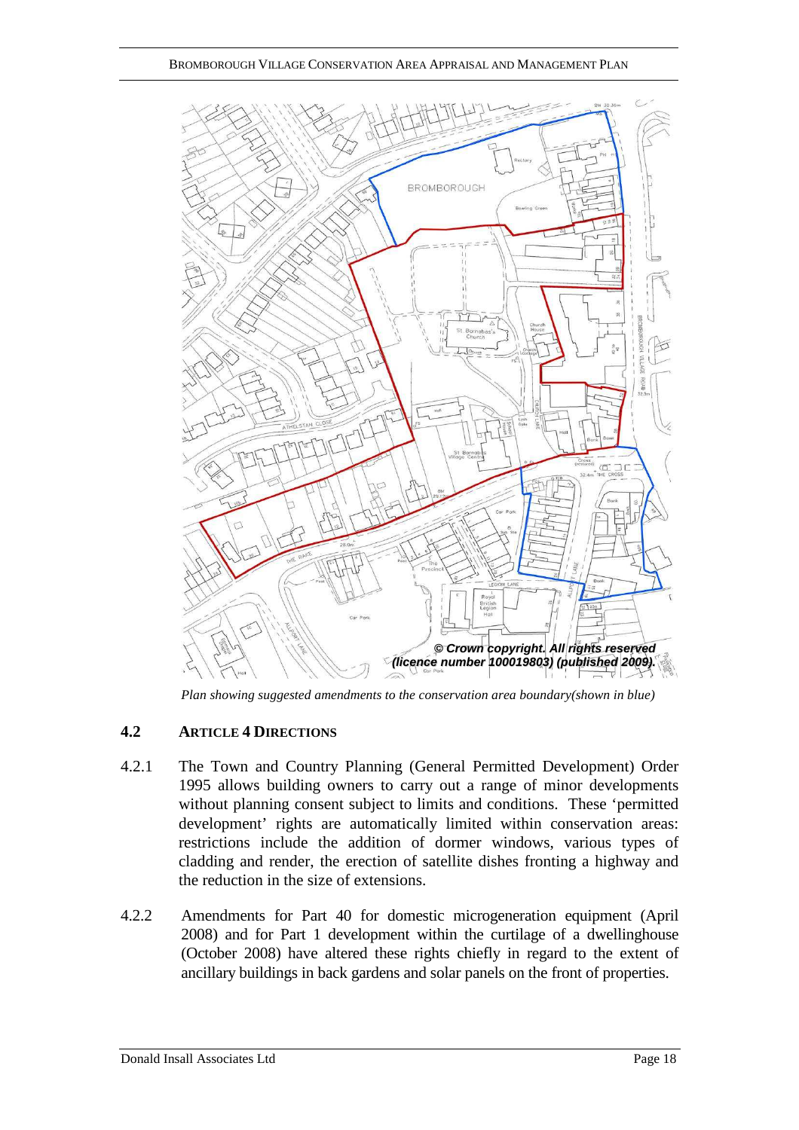

*Plan showing suggested amendments to the conservation area boundary(shown in blue)* 

# **4.2 ARTICLE 4 DIRECTIONS**

- 4.2.1 The Town and Country Planning (General Permitted Development) Order 1995 allows building owners to carry out a range of minor developments without planning consent subject to limits and conditions. These 'permitted development' rights are automatically limited within conservation areas: restrictions include the addition of dormer windows, various types of cladding and render, the erection of satellite dishes fronting a highway and the reduction in the size of extensions.
- 4.2.2 Amendments for Part 40 for domestic microgeneration equipment (April 2008) and for Part 1 development within the curtilage of a dwellinghouse (October 2008) have altered these rights chiefly in regard to the extent of ancillary buildings in back gardens and solar panels on the front of properties.